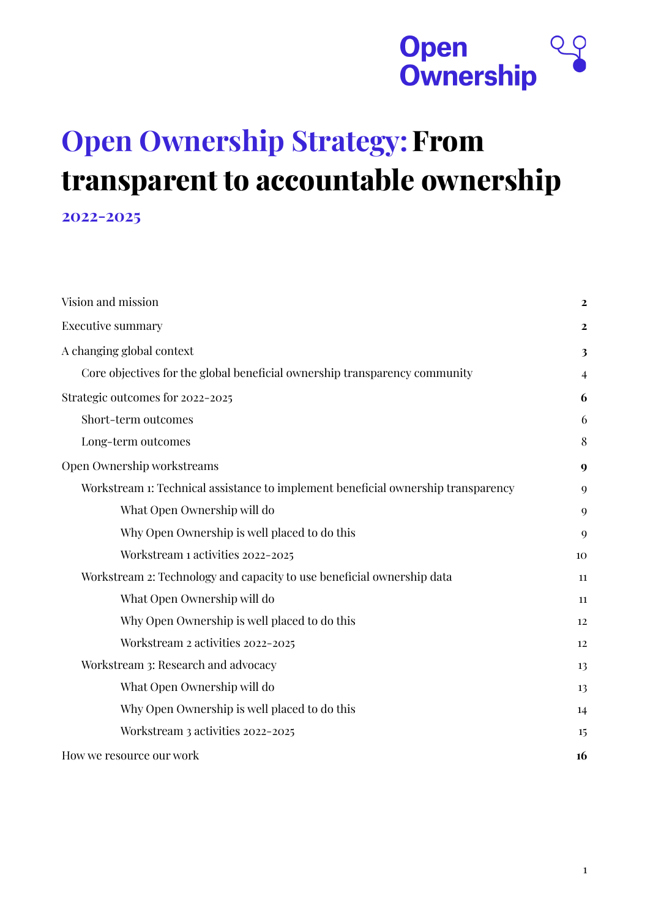

# **Open Ownership Strategy:From transparent to accountable ownership 2022-2025**

| Vision and mission                                                                | $\overline{2}$ |
|-----------------------------------------------------------------------------------|----------------|
| <b>Executive summary</b>                                                          | $\mathbf{2}$   |
| A changing global context                                                         | 3              |
| Core objectives for the global beneficial ownership transparency community        | 4              |
| Strategic outcomes for 2022-2025                                                  | 6              |
| Short-term outcomes                                                               | 6              |
| Long-term outcomes                                                                | 8              |
| Open Ownership workstreams                                                        | 9              |
| Workstream 1: Technical assistance to implement beneficial ownership transparency | 9              |
| What Open Ownership will do                                                       | 9              |
| Why Open Ownership is well placed to do this                                      | $\mathbf Q$    |
| Workstream 1 activities 2022-2025                                                 | 10             |
| Workstream 2: Technology and capacity to use beneficial ownership data            | 11             |
| What Open Ownership will do                                                       | 11             |
| Why Open Ownership is well placed to do this                                      | 12             |
| Workstream 2 activities 2022-2025                                                 | 12             |
| Workstream 3: Research and advocacy                                               | 13             |
| What Open Ownership will do                                                       | 13             |
| Why Open Ownership is well placed to do this                                      | 14             |
| Workstream 3 activities 2022-2025                                                 | 15             |
| How we resource our work                                                          | 16             |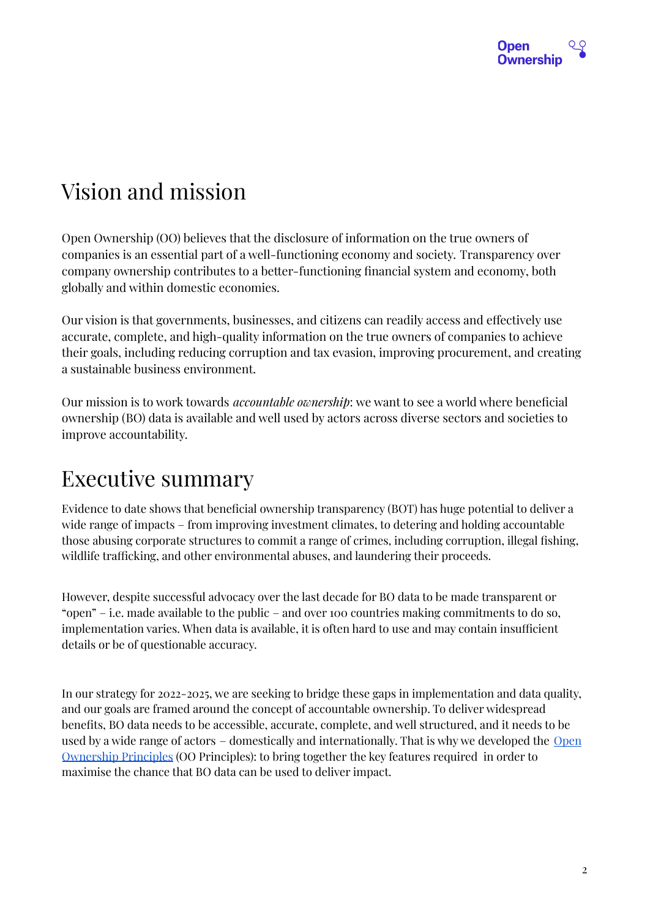

## <span id="page-1-0"></span>Vision and mission

Open Ownership (OO) believes that the disclosure of information on the true owners of companies is an essential part of a well-functioning economy and society. Transparency over company ownership contributes to a better-functioning financial system and economy, both globally and within domestic economies.

Our vision is that governments, businesses, and citizens can readily access and effectively use accurate, complete, and high-quality information on the true owners of companies to achieve their goals, including reducing corruption and tax evasion, improving procurement, and creating a sustainable business environment.

Our mission is to work towards *accountable ownership*: we want to see a world where beneficial ownership (BO) data is available and well used by actors across diverse sectors and societies to improve accountability.

## <span id="page-1-1"></span>Executive summary

Evidence to date shows that beneficial ownership transparency (BOT) has huge potential to deliver a wide range of impacts – from improving investment climates, to detering and holding accountable those abusing corporate structures to commit a range of crimes, including corruption, illegal fishing, wildlife trafficking, and other environmental abuses, and laundering their proceeds.

However, despite successful advocacy over the last decade for BO data to be made transparent or "open" – i.e. made available to the public – and over 100 countries making commitments to do so, implementation varies. When data is available, it is often hard to use and may contain insufficient details or be of questionable accuracy.

In our strategy for 2022-2025, we are seeking to bridge these gaps in implementation and data quality, and our goals are framed around the concept of accountable ownership. To deliver widespread benefits, BO data needs to be accessible, accurate, complete, and well structured, and it needs to be used by a wide range of actors – domestically and internationally. That is why we developed the [Open](https://openownership.org/principles) [Ownership](https://openownership.org/principles) Principles (OO Principles): to bring together the key features required in order to maximise the chance that BO data can be used to deliver impact.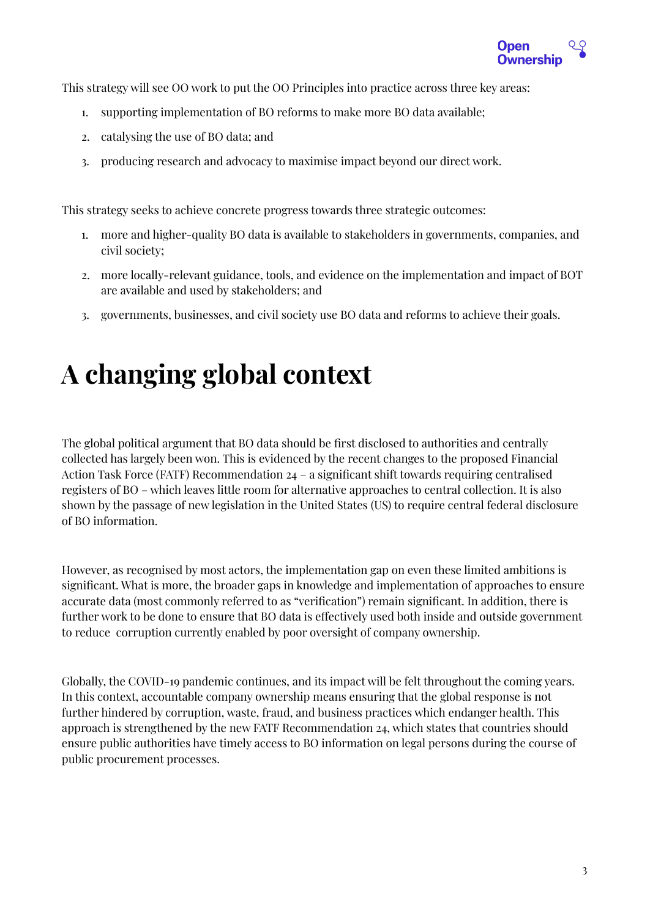

This strategy will see OO work to put the OO Principles into practice across three key areas:

- 1. supporting implementation of BO reforms to make more BO data available;
- 2. catalysing the use of BO data; and
- 3. producing research and advocacy to maximise impact beyond our direct work.

This strategy seeks to achieve concrete progress towards three strategic outcomes:

- 1. more and higher-quality BO data is available to stakeholders in governments, companies, and civil society;
- 2. more locally-relevant guidance, tools, and evidence on the implementation and impact of BOT are available and used by stakeholders; and
- 3. governments, businesses, and civil society use BO data and reforms to achieve their goals.

# <span id="page-2-0"></span>**A changing global context**

The global political argument that BO data should be first disclosed to authorities and centrally collected has largely been won. This is evidenced by the recent changes to the proposed Financial Action Task Force (FATF) Recommendation 24 – a significant shift towards requiring centralised registers of BO – which leaves little room for alternative approaches to central collection. It is also shown by the passage of new legislation in the United States (US) to require central federal disclosure of BO information.

However, as recognised by most actors, the implementation gap on even these limited ambitions is significant. What is more, the broader gaps in knowledge and implementation of approaches to ensure accurate data (most commonly referred to as "verification") remain significant. In addition, there is further work to be done to ensure that BO data is effectively used both inside and outside government to reduce corruption currently enabled by poor oversight of company ownership.

Globally, the COVID-19 pandemic continues, and its impact will be felt throughout the coming years. In this context, accountable company ownership means ensuring that the global response is not further hindered by corruption, waste, fraud, and business practices which endanger health. This approach is strengthened by the new FATF Recommendation 24, which states that countries should ensure public authorities have timely access to BO information on legal persons during the course of public procurement processes.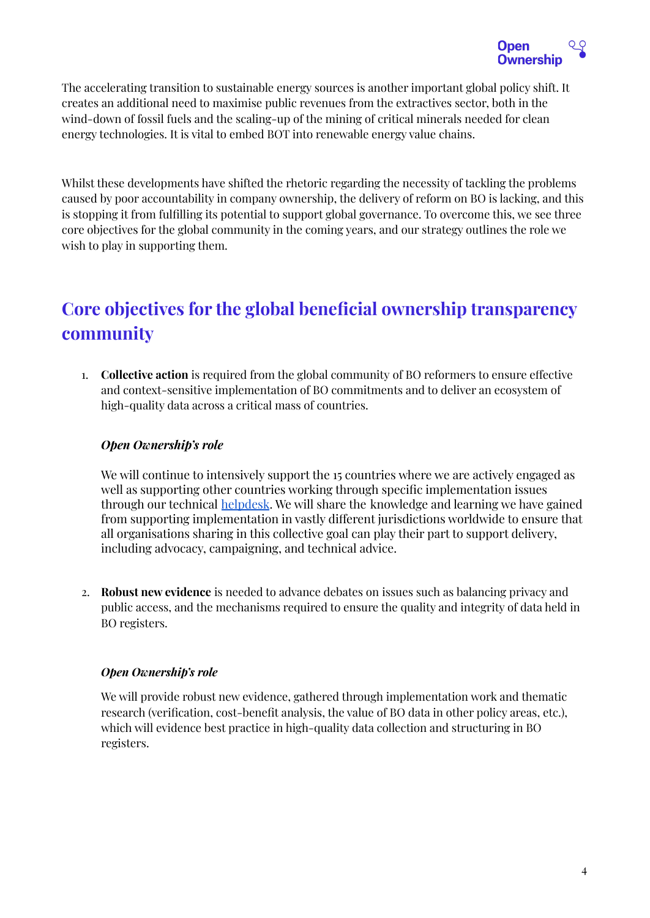

The accelerating transition to sustainable energy sources is another important global policy shift. It creates an additional need to maximise public revenues from the extractives sector, both in the wind-down of fossil fuels and the scaling-up of the mining of critical minerals needed for clean energy technologies. It is vital to embed BOT into renewable energy value chains.

Whilst these developments have shifted the rhetoric regarding the necessity of tackling the problems caused by poor accountability in company ownership, the delivery of reform on BO is lacking, and this is stopping it from fulfilling its potential to support global governance. To overcome this, we see three core objectives for the global community in the coming years, and our strategy outlines the role we wish to play in supporting them.

## <span id="page-3-0"></span>**Core objectives for the global beneficial ownership transparency community**

1. **Collective action** is required from the global community of BO reformers to ensure effective and context-sensitive implementation of BO commitments and to deliver an ecosystem of high-quality data across a critical mass of countries.

### *Open Ownership's role*

We will continue to intensively support the 15 countries where we are actively engaged as well as supporting other countries working through specific implementation issues through our technical [helpdesk](https://www.openownership.org/en/about/helpdesk/). We will share the knowledge and learning we have gained from supporting implementation in vastly different jurisdictions worldwide to ensure that all organisations sharing in this collective goal can play their part to support delivery, including advocacy, campaigning, and technical advice.

2. **Robust new evidence** is needed to advance debates on issues such as balancing privacy and public access, and the mechanisms required to ensure the quality and integrity of data held in BO registers.

#### *Open Ownership's role*

We will provide robust new evidence, gathered through implementation work and thematic research (verification, cost-benefit analysis, the value of BO data in other policy areas, etc.), which will evidence best practice in high-quality data collection and structuring in BO registers.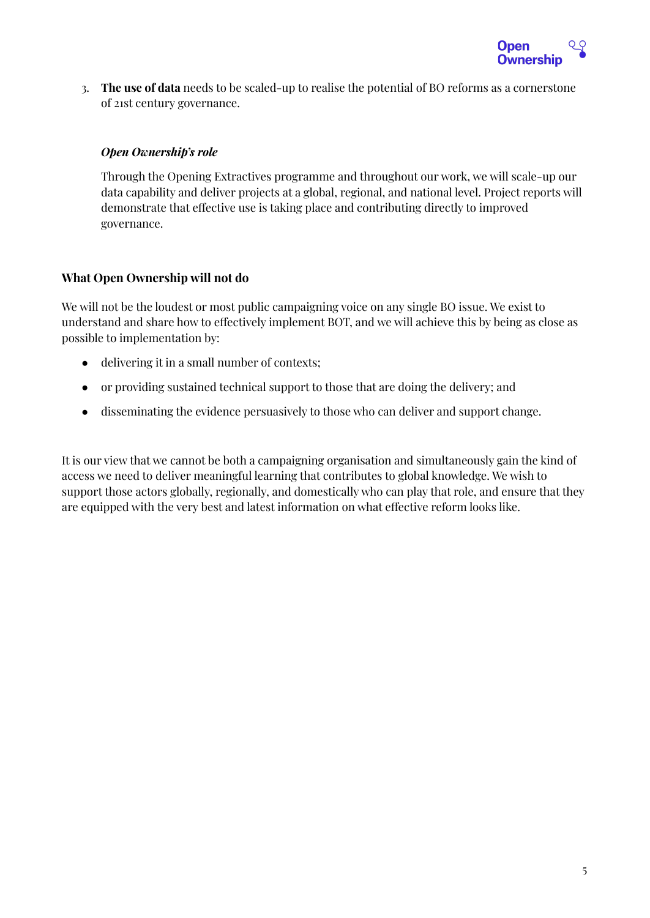

3. **The use of data** needs to be scaled-up to realise the potential of BO reforms as a cornerstone of 21st century governance.

#### *Open Ownership's role*

Through the Opening Extractives programme and throughout our work, we will scale-up our data capability and deliver projects at a global, regional, and national level. Project reports will demonstrate that effective use is taking place and contributing directly to improved governance.

### **What Open Ownership will not do**

We will not be the loudest or most public campaigning voice on any single BO issue. We exist to understand and share how to effectively implement BOT, and we will achieve this by being as close as possible to implementation by:

- delivering it in a small number of contexts;
- or providing sustained technical support to those that are doing the delivery; and
- disseminating the evidence persuasively to those who can deliver and support change.

It is our view that we cannot be both a campaigning organisation and simultaneously gain the kind of access we need to deliver meaningful learning that contributes to global knowledge. We wish to support those actors globally, regionally, and domestically who can play that role, and ensure that they are equipped with the very best and latest information on what effective reform looks like.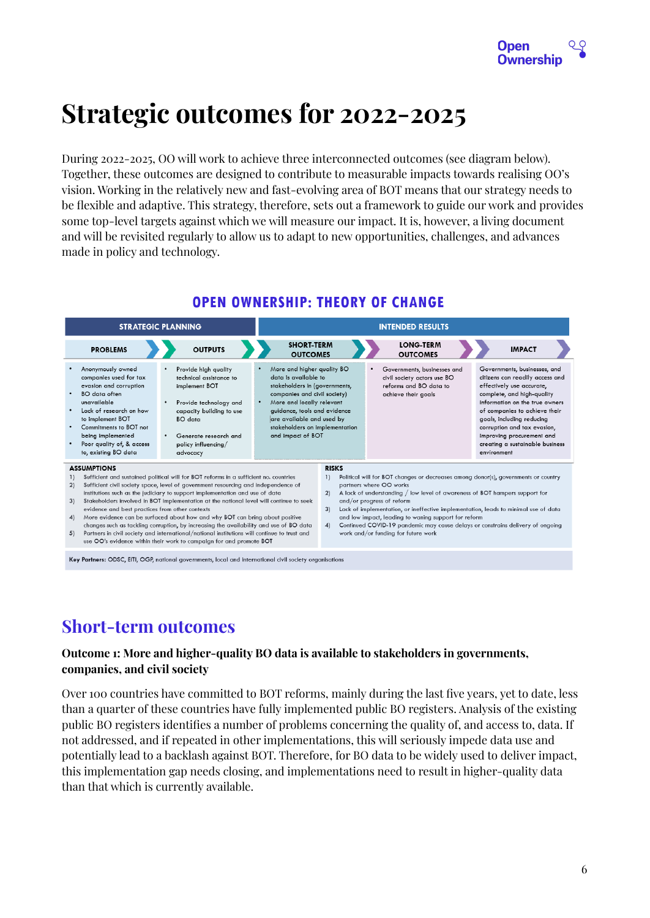

# <span id="page-5-0"></span>**Strategic outcomes for 2022-2025**

During 2022-2025, OO will work to achieve three interconnected outcomes (see diagram below). Together, these outcomes are designed to contribute to measurable impacts towards realising OO's vision. Working in the relatively new and fast-evolving area of BOT means that our strategy needs to be flexible and adaptive. This strategy, therefore, sets out a framework to guide our work and provides some top-level targets against which we will measure our impact. It is, however, a living document and will be revisited regularly to allow us to adapt to new opportunities, challenges, and advances made in policy and technology.



## **OPEN OWNERSHIP: THEORY OF CHANGE**

## <span id="page-5-1"></span>**Short-term outcomes**

### **Outcome 1: More and higher-quality BO data is available to stakeholders in governments, companies, and civil society**

Over 100 countries have committed to BOT reforms, mainly during the last five years, yet to date, less than a quarter of these countries have fully implemented public BO registers. Analysis of the existing public BO registers identifies a number of problems concerning the quality of, and access to, data. If not addressed, and if repeated in other implementations, this will seriously impede data use and potentially lead to a backlash against BOT. Therefore, for BO data to be widely used to deliver impact, this implementation gap needs closing, and implementations need to result in higher-quality data than that which is currently available.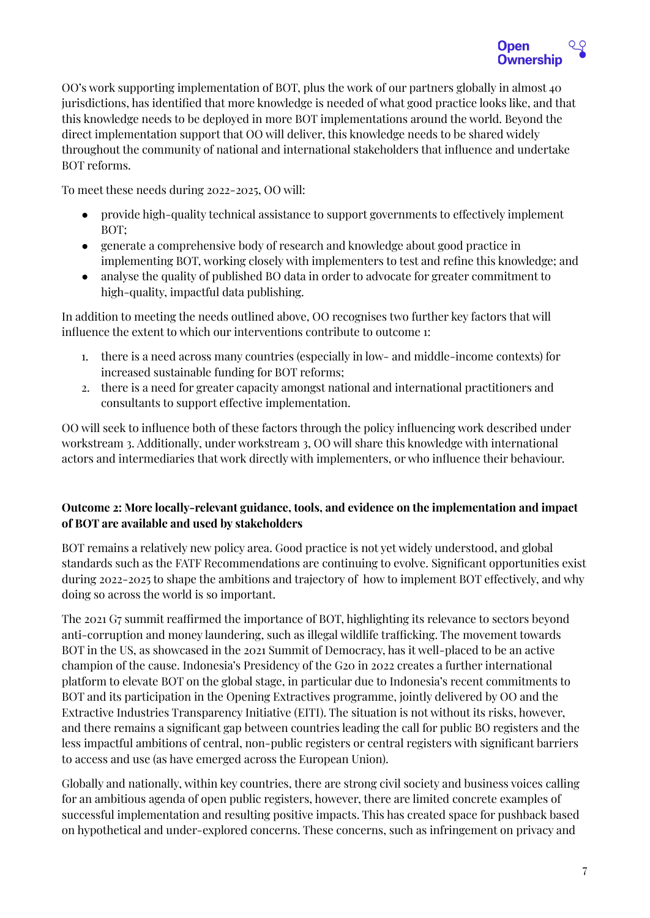

OO's work supporting implementation of BOT, plus the work of our partners globally in almost 40 jurisdictions, has identified that more knowledge is needed of what good practice looks like, and that this knowledge needs to be deployed in more BOT implementations around the world. Beyond the direct implementation support that OO will deliver, this knowledge needs to be shared widely throughout the community of national and international stakeholders that influence and undertake BOT reforms.

To meet these needs during 2022-2025, OO will:

- provide high-quality technical assistance to support governments to effectively implement BOT;
- generate a comprehensive body of research and knowledge about good practice in implementing BOT, working closely with implementers to test and refine this knowledge; and
- analyse the quality of published BO data in order to advocate for greater commitment to high-quality, impactful data publishing.

In addition to meeting the needs outlined above, OO recognises two further key factors that will influence the extent to which our interventions contribute to outcome 1:

- 1. there is a need across many countries (especially in low- and middle-income contexts) for increased sustainable funding for BOT reforms;
- 2. there is a need for greater capacity amongst national and international practitioners and consultants to support effective implementation.

OO will seek to influence both of these factors through the policy influencing work described under workstream 3. Additionally, under workstream 3, OO will share this knowledge with international actors and intermediaries that work directly with implementers, or who influence their behaviour.

### **Outcome 2: More locally-relevant guidance, tools, and evidence on the implementation and impact of BOT are available and used by stakeholders**

BOT remains a relatively new policy area. Good practice is not yet widely understood, and global standards such as the FATF Recommendations are continuing to evolve. Significant opportunities exist during 2022-2025 to shape the ambitions and trajectory of how to implement BOT effectively, and why doing so across the world is so important.

The 2021 G7 summit reaffirmed the importance of BOT, highlighting its relevance to sectors beyond anti-corruption and money laundering, such as illegal wildlife trafficking. The movement towards BOT in the US, as showcased in the 2021 Summit of Democracy, has it well-placed to be an active champion of the cause. Indonesia's Presidency of the G20 in 2022 creates a further international platform to elevate BOT on the global stage, in particular due to Indonesia's recent commitments to BOT and its participation in the Opening Extractives programme, jointly delivered by OO and the Extractive Industries Transparency Initiative (EITI). The situation is not without its risks, however, and there remains a significant gap between countries leading the call for public BO registers and the less impactful ambitions of central, non-public registers or central registers with significant barriers to access and use (as have emerged across the European Union).

Globally and nationally, within key countries, there are strong civil society and business voices calling for an ambitious agenda of open public registers, however, there are limited concrete examples of successful implementation and resulting positive impacts. This has created space for pushback based on hypothetical and under-explored concerns. These concerns, such as infringement on privacy and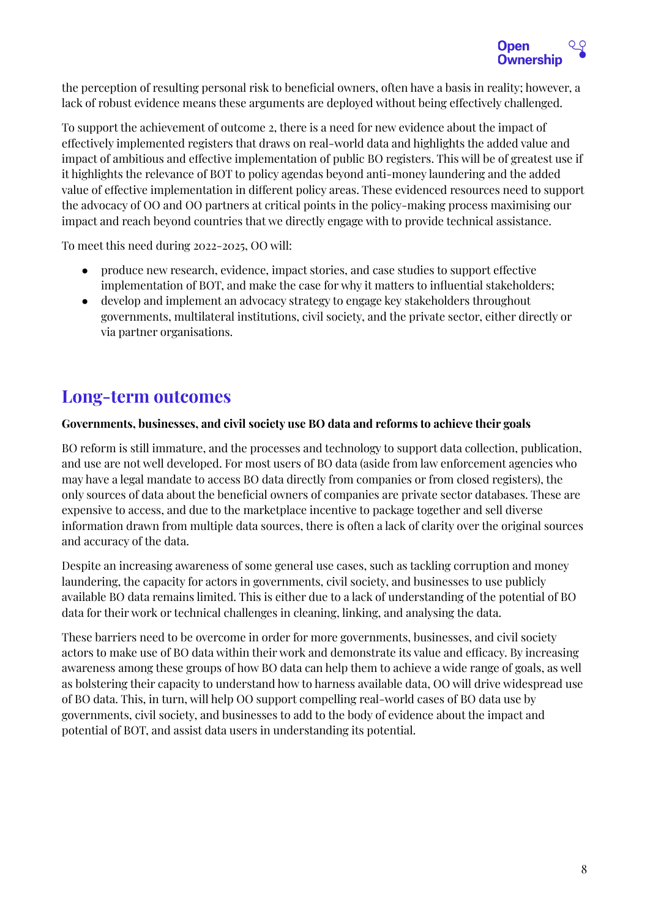

the perception of resulting personal risk to beneficial owners, often have a basis in reality; however, a lack of robust evidence means these arguments are deployed without being effectively challenged.

To support the achievement of outcome 2, there is a need for new evidence about the impact of effectively implemented registers that draws on real-world data and highlights the added value and impact of ambitious and effective implementation of public BO registers. This will be of greatest use if it highlights the relevance of BOT to policy agendas beyond anti-money laundering and the added value of effective implementation in different policy areas. These evidenced resources need to support the advocacy of OO and OO partners at critical points in the policy-making process maximising our impact and reach beyond countries that we directly engage with to provide technical assistance.

To meet this need during 2022-2025, OO will:

- produce new research, evidence, impact stories, and case studies to support effective implementation of BOT, and make the case for why it matters to influential stakeholders;
- develop and implement an advocacy strategy to engage key stakeholders throughout governments, multilateral institutions, civil society, and the private sector, either directly or via partner organisations.

## <span id="page-7-0"></span>**Long-term outcomes**

#### **Governments, businesses, and civil society use BO data and reforms to achieve their goals**

BO reform is still immature, and the processes and technology to support data collection, publication, and use are not well developed. For most users of BO data (aside from law enforcement agencies who may have a legal mandate to access BO data directly from companies or from closed registers), the only sources of data about the beneficial owners of companies are private sector databases. These are expensive to access, and due to the marketplace incentive to package together and sell diverse information drawn from multiple data sources, there is often a lack of clarity over the original sources and accuracy of the data.

Despite an increasing awareness of some general use cases, such as tackling corruption and money laundering, the capacity for actors in governments, civil society, and businesses to use publicly available BO data remains limited. This is either due to a lack of understanding of the potential of BO data for their work or technical challenges in cleaning, linking, and analysing the data.

These barriers need to be overcome in order for more governments, businesses, and civil society actors to make use of BO data within their work and demonstrate its value and efficacy. By increasing awareness among these groups of how BO data can help them to achieve a wide range of goals, as well as bolstering their capacity to understand how to harness available data, OO will drive widespread use of BO data. This, in turn, will help OO support compelling real-world cases of BO data use by governments, civil society, and businesses to add to the body of evidence about the impact and potential of BOT, and assist data users in understanding its potential.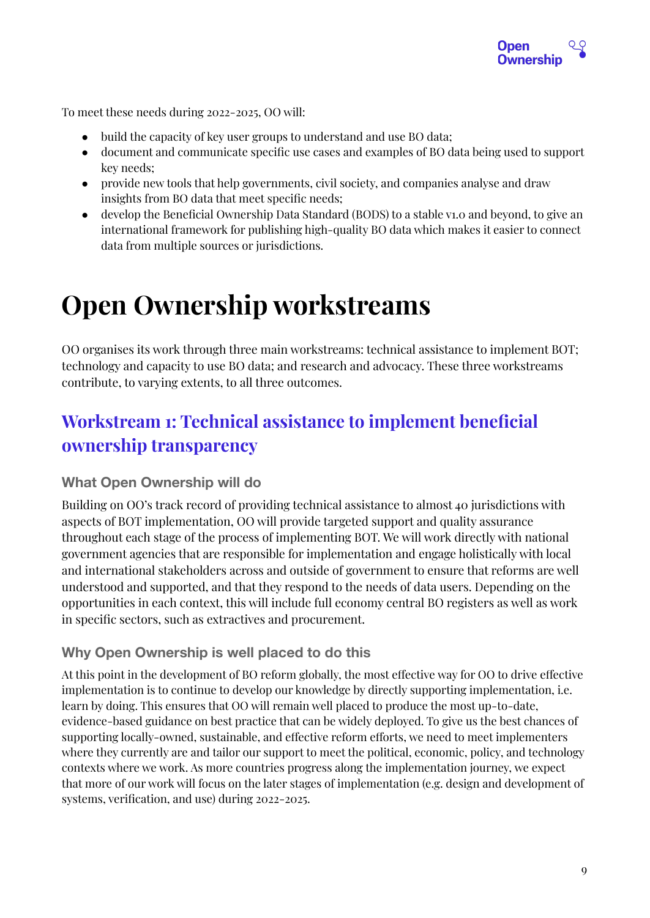

To meet these needs during 2022-2025, OO will:

- build the capacity of key user groups to understand and use BO data;
- document and communicate specific use cases and examples of BO data being used to support key needs;
- provide new tools that help governments, civil society, and companies analyse and draw insights from BO data that meet specific needs;
- develop the Beneficial Ownership Data Standard (BODS) to a stable v1.0 and beyond, to give an international framework for publishing high-quality BO data which makes it easier to connect data from multiple sources or jurisdictions.

# <span id="page-8-0"></span>**Open Ownership workstreams**

OO organises its work through three main workstreams: technical assistance to implement BOT; technology and capacity to use BO data; and research and advocacy. These three workstreams contribute, to varying extents, to all three outcomes.

## <span id="page-8-1"></span>**Workstream 1: Technical assistance to implement beneficial ownership transparency**

## <span id="page-8-2"></span>**What Open Ownership will do**

Building on OO's track record of providing technical assistance to almost 40 jurisdictions with aspects of BOT implementation, OO will provide targeted support and quality assurance throughout each stage of the process of implementing BOT. We will work directly with national government agencies that are responsible for implementation and engage holistically with local and international stakeholders across and outside of government to ensure that reforms are well understood and supported, and that they respond to the needs of data users. Depending on the opportunities in each context, this will include full economy central BO registers as well as work in specific sectors, such as extractives and procurement.

## <span id="page-8-3"></span>**Why Open Ownership is well placed to do this**

At this point in the development of BO reform globally, the most effective way for OO to drive effective implementation is to continue to develop our knowledge by directly supporting implementation, i.e. learn by doing. This ensures that OO will remain well placed to produce the most up-to-date, evidence-based guidance on best practice that can be widely deployed. To give us the best chances of supporting locally-owned, sustainable, and effective reform efforts, we need to meet implementers where they currently are and tailor our support to meet the political, economic, policy, and technology contexts where we work. As more countries progress along the implementation journey, we expect that more of our work will focus on the later stages of implementation (e.g. design and development of systems, verification, and use) during 2022-2025.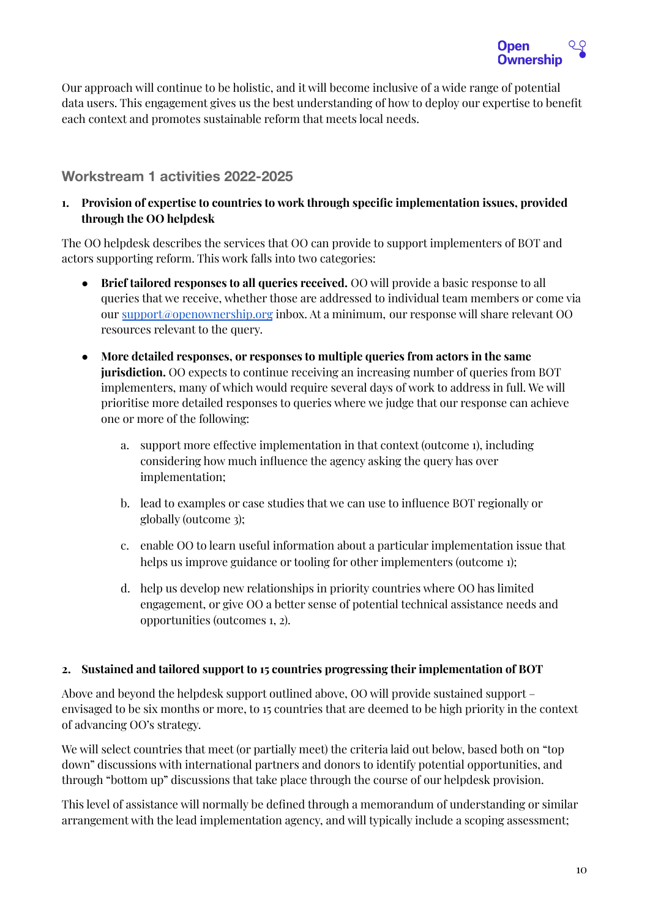

Our approach will continue to be holistic, and it will become inclusive of a wide range of potential data users. This engagement gives us the best understanding of how to deploy our expertise to benefit each context and promotes sustainable reform that meets local needs.

## <span id="page-9-0"></span>**Workstream 1 activities 2022-2025**

**1. Provision of expertise to countries to work through specific implementation issues, provided through the OO helpdesk**

The OO helpdesk describes the services that OO can provide to support implementers of BOT and actors supporting reform. This work falls into two categories:

- **Brief tailored responses to all queries received.** OO will provide a basic response to all queries that we receive, whether those are addressed to individual team members or come via our [support@openownership.org](mailto:support@openownership.org) inbox. At a minimum, our response will share relevant OO resources relevant to the query.
- **More detailed responses, or responses to multiple queries from actors in the same jurisdiction.** OO expects to continue receiving an increasing number of queries from BOT implementers, many of which would require several days of work to address in full. We will prioritise more detailed responses to queries where we judge that our response can achieve one or more of the following:
	- a. support more effective implementation in that context (outcome 1), including considering how much influence the agency asking the query has over implementation;
	- b. lead to examples or case studies that we can use to influence BOT regionally or globally (outcome 3);
	- c. enable OO to learn useful information about a particular implementation issue that helps us improve guidance or tooling for other implementers (outcome 1);
	- d. help us develop new relationships in priority countries where OO has limited engagement, or give OO a better sense of potential technical assistance needs and opportunities (outcomes 1, 2).

#### **2. Sustained and tailored support to 15 countries progressing their implementation of BOT**

Above and beyond the helpdesk support outlined above, OO will provide sustained support – envisaged to be six months or more, to 15 countries that are deemed to be high priority in the context of advancing OO's strategy.

We will select countries that meet (or partially meet) the criteria laid out below, based both on "top down" discussions with international partners and donors to identify potential opportunities, and through "bottom up" discussions that take place through the course of our helpdesk provision.

This level of assistance will normally be defined through a memorandum of understanding or similar arrangement with the lead implementation agency, and will typically include a scoping assessment;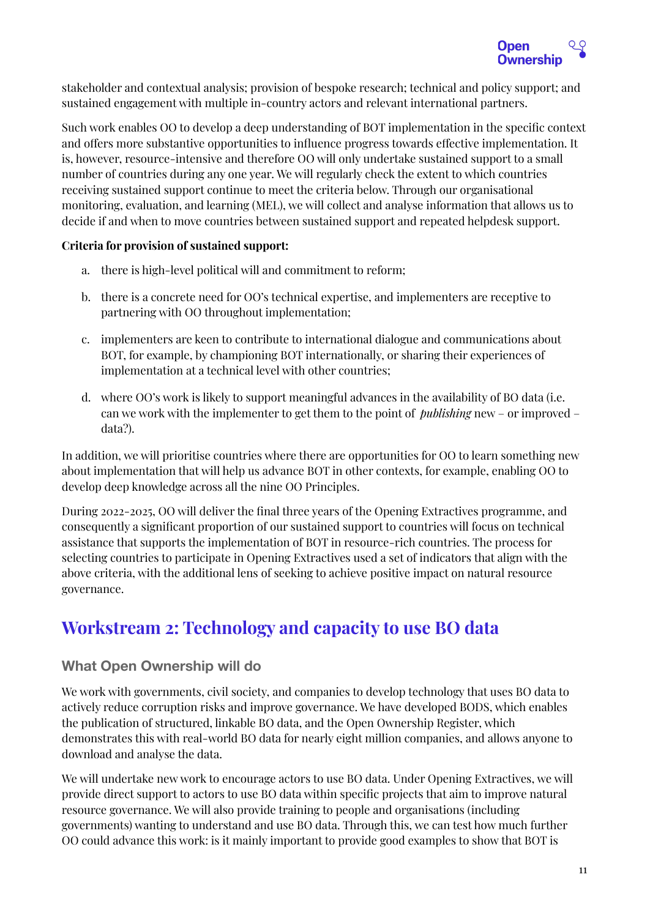

stakeholder and contextual analysis; provision of bespoke research; technical and policy support; and sustained engagement with multiple in-country actors and relevant international partners.

Such work enables OO to develop a deep understanding of BOT implementation in the specific context and offers more substantive opportunities to influence progress towards effective implementation. It is, however, resource-intensive and therefore OO will only undertake sustained support to a small number of countries during any one year. We will regularly check the extent to which countries receiving sustained support continue to meet the criteria below. Through our organisational monitoring, evaluation, and learning (MEL), we will collect and analyse information that allows us to decide if and when to move countries between sustained support and repeated helpdesk support.

#### **Criteria for provision of sustained support:**

- a. there is high-level political will and commitment to reform;
- b. there is a concrete need for OO's technical expertise, and implementers are receptive to partnering with OO throughout implementation;
- c. implementers are keen to contribute to international dialogue and communications about BOT, for example, by championing BOT internationally, or sharing their experiences of implementation at a technical level with other countries;
- d. where OO's work is likely to support meaningful advances in the availability of BO data (i.e. can we work with the implementer to get them to the point of *publishing* new – or improved – data?).

In addition, we will prioritise countries where there are opportunities for OO to learn something new about implementation that will help us advance BOT in other contexts, for example, enabling OO to develop deep knowledge across all the nine OO Principles.

During 2022-2025, OO will deliver the final three years of the Opening Extractives programme, and consequently a significant proportion of our sustained support to countries will focus on technical assistance that supports the implementation of BOT in resource-rich countries. The process for selecting countries to participate in Opening Extractives used a set of indicators that align with the above criteria, with the additional lens of seeking to achieve positive impact on natural resource governance.

## <span id="page-10-0"></span>**Workstream 2: Technology and capacity to use BO data**

## <span id="page-10-1"></span>**What Open Ownership will do**

We work with governments, civil society, and companies to develop technology that uses BO data to actively reduce corruption risks and improve governance. We have developed BODS, which enables the publication of structured, linkable BO data, and the Open Ownership Register, which demonstrates this with real-world BO data for nearly eight million companies, and allows anyone to download and analyse the data.

We will undertake new work to encourage actors to use BO data. Under Opening Extractives, we will provide direct support to actors to use BO data within specific projects that aim to improve natural resource governance. We will also provide training to people and organisations (including governments) wanting to understand and use BO data. Through this, we can test how much further OO could advance this work: is it mainly important to provide good examples to show that BOT is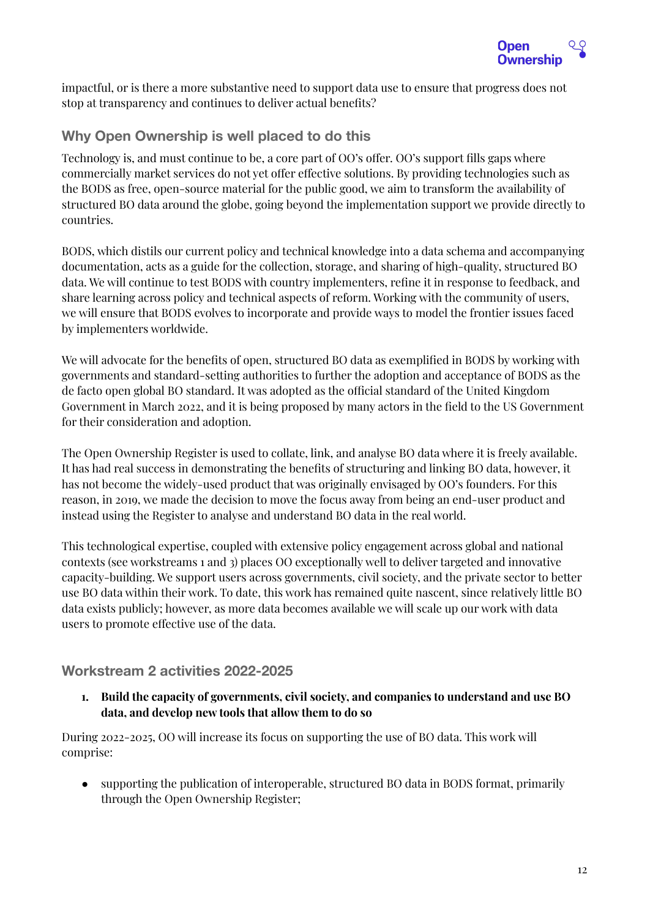

impactful, or is there a more substantive need to support data use to ensure that progress does not stop at transparency and continues to deliver actual benefits?

## <span id="page-11-0"></span>**Why Open Ownership is well placed to do this**

Technology is, and must continue to be, a core part of OO's offer. OO's support fills gaps where commercially market services do not yet offer effective solutions. By providing technologies such as the BODS as free, open-source material for the public good, we aim to transform the availability of structured BO data around the globe, going beyond the implementation support we provide directly to countries.

BODS, which distils our current policy and technical knowledge into a data schema and accompanying documentation, acts as a guide for the collection, storage, and sharing of high-quality, structured BO data. We will continue to test BODS with country implementers, refine it in response to feedback, and share learning across policy and technical aspects of reform. Working with the community of users, we will ensure that BODS evolves to incorporate and provide ways to model the frontier issues faced by implementers worldwide.

We will advocate for the benefits of open, structured BO data as exemplified in BODS by working with governments and standard-setting authorities to further the adoption and acceptance of BODS as the de facto open global BO standard. It was adopted as the official standard of the United Kingdom Government in March 2022, and it is being proposed by many actors in the field to the US Government for their consideration and adoption.

The Open Ownership Register is used to collate, link, and analyse BO data where it is freely available. It has had real success in demonstrating the benefits of structuring and linking BO data, however, it has not become the widely-used product that was originally envisaged by OO's founders. For this reason, in 2019, we made the decision to move the focus away from being an end-user product and instead using the Register to analyse and understand BO data in the real world.

This technological expertise, coupled with extensive policy engagement across global and national contexts (see workstreams 1 and 3) places OO exceptionally well to deliver targeted and innovative capacity-building. We support users across governments, civil society, and the private sector to better use BO data within their work. To date, this work has remained quite nascent, since relatively little BO data exists publicly; however, as more data becomes available we will scale up our work with data users to promote effective use of the data.

## <span id="page-11-1"></span>**Workstream 2 activities 2022-2025**

**1. Build the capacity of governments, civil society, and companies to understand and use BO data, and develop new tools that allow them to do so**

During 2022-2025, OO will increase its focus on supporting the use of BO data. This work will comprise:

● supporting the publication of interoperable, structured BO data in BODS format, primarily through the Open Ownership Register;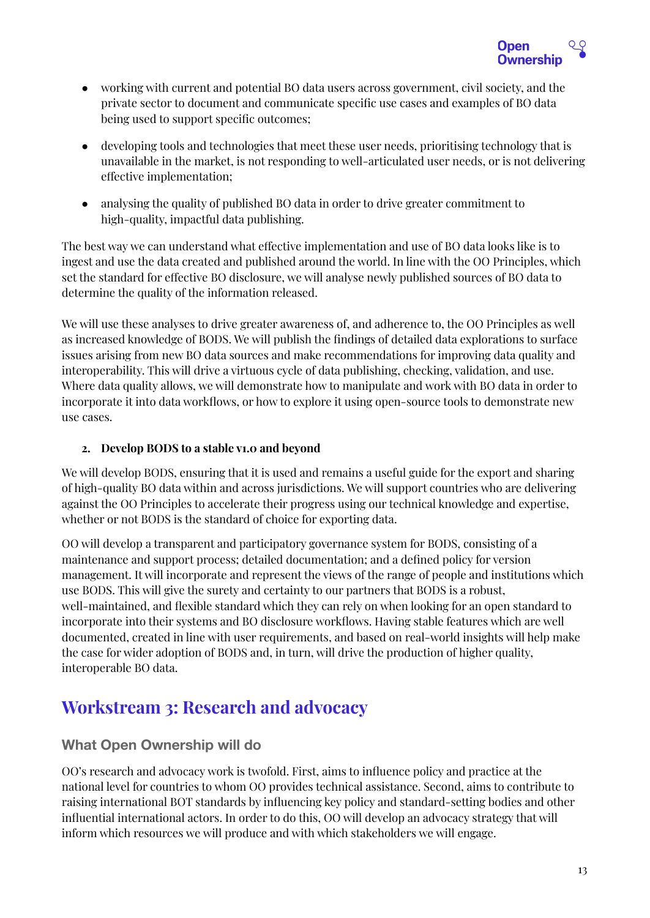

- working with current and potential BO data users across government, civil society, and the private sector to document and communicate specific use cases and examples of BO data being used to support specific outcomes;
- developing tools and technologies that meet these user needs, prioritising technology that is unavailable in the market, is not responding to well-articulated user needs, or is not delivering effective implementation;
- analysing the quality of published BO data in order to drive greater commitment to high-quality, impactful data publishing.

The best way we can understand what effective implementation and use of BO data looks like is to ingest and use the data created and published around the world. In line with the OO Principles, which set the standard for effective BO disclosure, we will analyse newly published sources of BO data to determine the quality of the information released.

We will use these analyses to drive greater awareness of, and adherence to, the OO Principles as well as increased knowledge of BODS. We will publish the findings of detailed data explorations to surface issues arising from new BO data sources and make recommendations for improving data quality and interoperability. This will drive a virtuous cycle of data publishing, checking, validation, and use. Where data quality allows, we will demonstrate how to manipulate and work with BO data in order to incorporate it into data workflows, or how to explore it using open-source tools to demonstrate new use cases.

### **2. Develop BODS to a stable v1.0 and beyond**

We will develop BODS, ensuring that it is used and remains a useful guide for the export and sharing of high-quality BO data within and across jurisdictions. We will support countries who are delivering against the OO Principles to accelerate their progress using our technical knowledge and expertise, whether or not BODS is the standard of choice for exporting data.

OO will develop a transparent and participatory governance system for BODS, consisting of a maintenance and support process; detailed documentation; and a defined policy for version management. It will incorporate and represent the views of the range of people and institutions which use BODS. This will give the surety and certainty to our partners that BODS is a robust, well-maintained, and flexible standard which they can rely on when looking for an open standard to incorporate into their systems and BO disclosure workflows. Having stable features which are well documented, created in line with user requirements, and based on real-world insights will help make the case for wider adoption of BODS and, in turn, will drive the production of higher quality, interoperable BO data.

## <span id="page-12-0"></span>**Workstream 3: Research and advocacy**

## <span id="page-12-1"></span>**What Open Ownership will do**

OO's research and advocacy work is twofold. First, aims to influence policy and practice at the national level for countries to whom OO provides technical assistance. Second, aims to contribute to raising international BOT standards by influencing key policy and standard-setting bodies and other influential international actors. In order to do this, OO will develop an advocacy strategy that will inform which resources we will produce and with which stakeholders we will engage.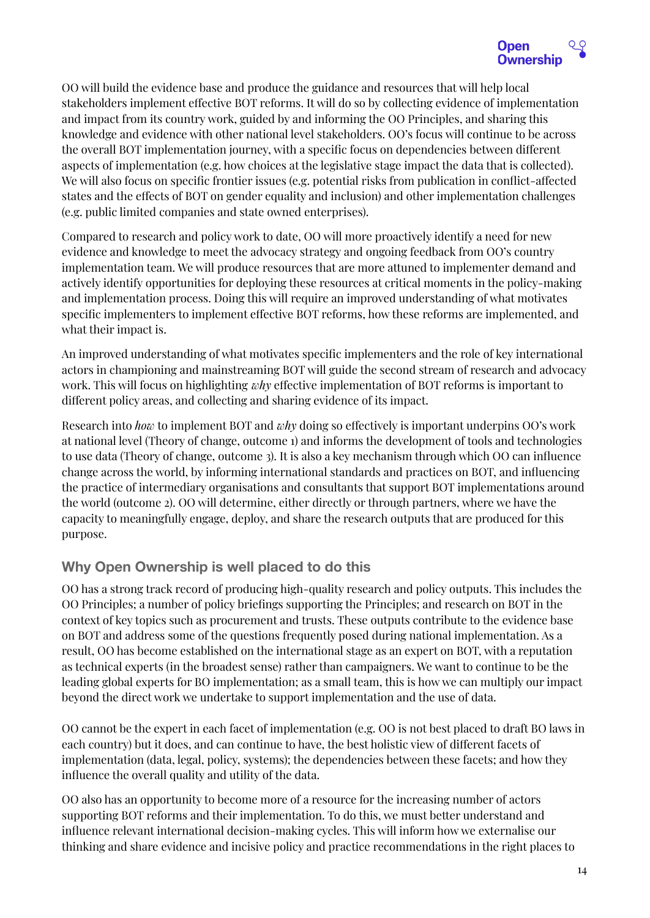

OO will build the evidence base and produce the guidance and resources that will help local stakeholders implement effective BOT reforms. It will do so by collecting evidence of implementation and impact from its country work, guided by and informing the OO Principles, and sharing this knowledge and evidence with other national level stakeholders. OO's focus will continue to be across the overall BOT implementation journey, with a specific focus on dependencies between different aspects of implementation (e.g. how choices at the legislative stage impact the data that is collected). We will also focus on specific frontier issues (e.g. potential risks from publication in conflict-affected states and the effects of BOT on gender equality and inclusion) and other implementation challenges (e.g. public limited companies and state owned enterprises).

Compared to research and policy work to date, OO will more proactively identify a need for new evidence and knowledge to meet the advocacy strategy and ongoing feedback from OO's country implementation team. We will produce resources that are more attuned to implementer demand and actively identify opportunities for deploying these resources at critical moments in the policy-making and implementation process. Doing this will require an improved understanding of what motivates specific implementers to implement effective BOT reforms, how these reforms are implemented, and what their impact is.

An improved understanding of what motivates specific implementers and the role of key international actors in championing and mainstreaming BOT will guide the second stream of research and advocacy work. This will focus on highlighting *why* effective implementation of BOT reforms is important to different policy areas, and collecting and sharing evidence of its impact.

Research into *how* to implement BOT and *why* doing so effectively is important underpins OO's work at national level (Theory of change, outcome 1) and informs the development of tools and technologies to use data (Theory of change, outcome 3). It is also a key mechanism through which OO can influence change across the world, by informing international standards and practices on BOT, and influencing the practice of intermediary organisations and consultants that support BOT implementations around the world (outcome 2). OO will determine, either directly or through partners, where we have the capacity to meaningfully engage, deploy, and share the research outputs that are produced for this purpose.

## <span id="page-13-0"></span>**Why Open Ownership is well placed to do this**

OO has a strong track record of producing high-quality research and policy outputs. This includes the OO Principles; a number of policy briefings supporting the Principles; and research on BOT in the context of key topics such as procurement and trusts. These outputs contribute to the evidence base on BOT and address some of the questions frequently posed during national implementation. As a result, OO has become established on the international stage as an expert on BOT, with a reputation as technical experts (in the broadest sense) rather than campaigners. We want to continue to be the leading global experts for BO implementation; as a small team, this is how we can multiply our impact beyond the direct work we undertake to support implementation and the use of data.

OO cannot be the expert in each facet of implementation (e.g. OO is not best placed to draft BO laws in each country) but it does, and can continue to have, the best holistic view of different facets of implementation (data, legal, policy, systems); the dependencies between these facets; and how they influence the overall quality and utility of the data.

OO also has an opportunity to become more of a resource for the increasing number of actors supporting BOT reforms and their implementation. To do this, we must better understand and influence relevant international decision-making cycles. This will inform how we externalise our thinking and share evidence and incisive policy and practice recommendations in the right places to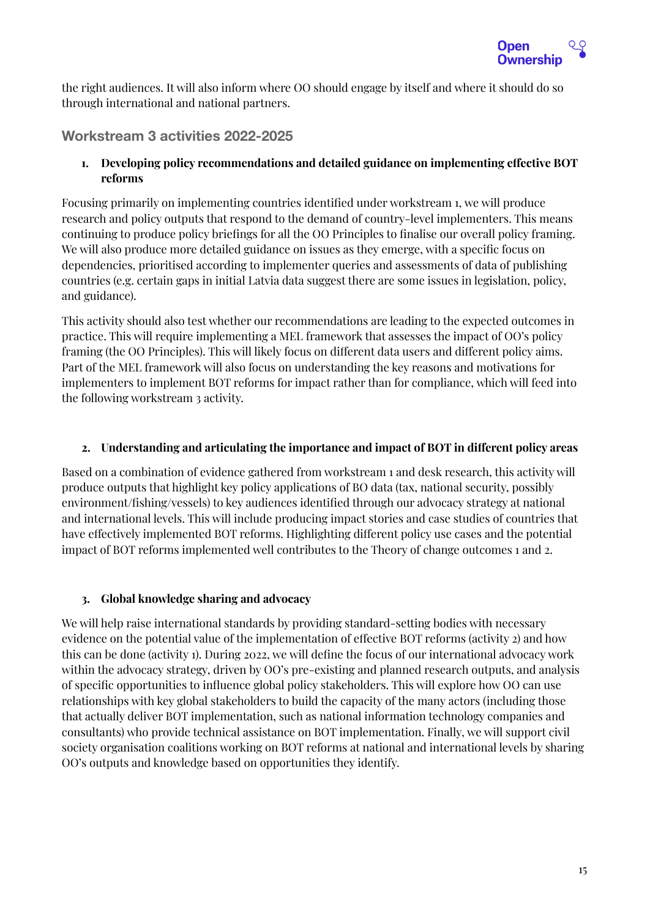

the right audiences. It will also inform where OO should engage by itself and where it should do so through international and national partners.

## <span id="page-14-0"></span>**Workstream 3 activities 2022-2025**

**1. Developing policy recommendations and detailed guidance on implementing effective BOT reforms**

Focusing primarily on implementing countries identified under workstream 1, we will produce research and policy outputs that respond to the demand of country-level implementers. This means continuing to produce policy briefings for all the OO Principles to finalise our overall policy framing. We will also produce more detailed guidance on issues as they emerge, with a specific focus on dependencies, prioritised according to implementer queries and assessments of data of publishing countries (e.g. certain gaps in initial Latvia data suggest there are some issues in legislation, policy, and guidance).

This activity should also test whether our recommendations are leading to the expected outcomes in practice. This will require implementing a MEL framework that assesses the impact of OO's policy framing (the OO Principles). This will likely focus on different data users and different policy aims. Part of the MEL framework will also focus on understanding the key reasons and motivations for implementers to implement BOT reforms for impact rather than for compliance, which will feed into the following workstream 3 activity.

#### **2. Understanding and articulating the importance and impact of BOT in different policy areas**

Based on a combination of evidence gathered from workstream 1 and desk research, this activity will produce outputs that highlight key policy applications of BO data (tax, national security, possibly environment/fishing/vessels) to key audiences identified through our advocacy strategy at national and international levels. This will include producing impact stories and case studies of countries that have effectively implemented BOT reforms. Highlighting different policy use cases and the potential impact of BOT reforms implemented well contributes to the Theory of change outcomes 1 and 2.

#### **3. Global knowledge sharing and advocacy**

We will help raise international standards by providing standard-setting bodies with necessary evidence on the potential value of the implementation of effective BOT reforms (activity 2) and how this can be done (activity 1). During 2022, we will define the focus of our international advocacy work within the advocacy strategy, driven by OO's pre-existing and planned research outputs, and analysis of specific opportunities to influence global policy stakeholders. This will explore how OO can use relationships with key global stakeholders to build the capacity of the many actors (including those that actually deliver BOT implementation, such as national information technology companies and consultants) who provide technical assistance on BOT implementation. Finally, we will support civil society organisation coalitions working on BOT reforms at national and international levels by sharing OO's outputs and knowledge based on opportunities they identify.